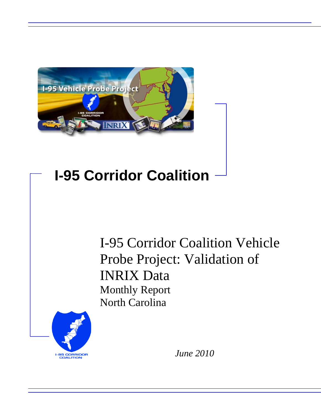

## **I-95 Corridor Coalition**

I-95 Corridor Coalition Vehicle Probe Project: Validation of INRIX Data Monthly Report North Carolina



*June 2010*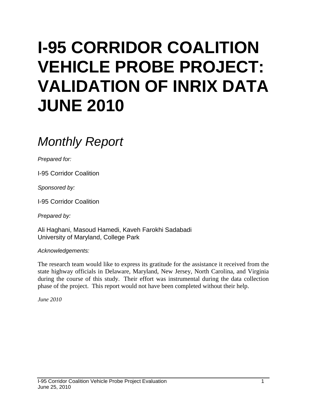# **I-95 CORRIDOR COALITION VEHICLE PROBE PROJECT: VALIDATION OF INRIX DATA JUNE 2010**

## *Monthly Report*

*Prepared for:*

I-95 Corridor Coalition

*Sponsored by:*

I-95 Corridor Coalition

*Prepared by:*

Ali Haghani, Masoud Hamedi, Kaveh Farokhi Sadabadi University of Maryland, College Park

*Acknowledgements:*

The research team would like to express its gratitude for the assistance it received from the state highway officials in Delaware, Maryland, New Jersey, North Carolina, and Virginia during the course of this study. Their effort was instrumental during the data collection phase of the project. This report would not have been completed without their help.

*June 2010*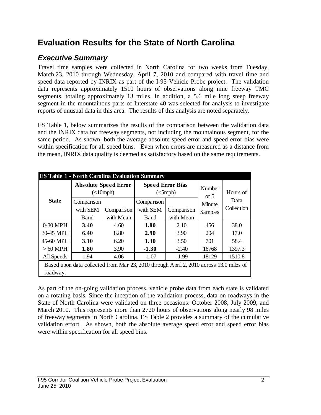## **Evaluation Results for the State of North Carolina**

## *Executive Summary*

Travel time samples were collected in North Carolina for two weeks from Tuesday, March 23, 2010 through Wednesday, April 7, 2010 and compared with travel time and speed data reported by INRIX as part of the I-95 Vehicle Probe project. The validation data represents approximately 1510 hours of observations along nine freeway TMC segments, totaling approximately 13 miles. In addition, a 5.6 mile long steep freeway segment in the mountainous parts of Interstate 40 was selected for analysis to investigate reports of unusual data in this area. The results of this analysis are noted separately.

ES Table 1, below summarizes the results of the comparison between the validation data and the INRIX data for freeway segments, not including the mountainous segment, for the same period. As shown, both the average absolute speed error and speed error bias were within specification for all speed bins. Even when errors are measured as a distance from the mean, INRIX data quality is deemed as satisfactory based on the same requirements.

| <b>ES Table 1 - North Carolina Evaluation Summary</b> |                                                                                        |                                          |                         |            |                |            |  |
|-------------------------------------------------------|----------------------------------------------------------------------------------------|------------------------------------------|-------------------------|------------|----------------|------------|--|
| <b>State</b>                                          |                                                                                        | <b>Absolute Speed Error</b><br>(<10 mph) | <b>Speed Error Bias</b> | (<5 mph)   | Number<br>of 5 | Hours of   |  |
|                                                       | Comparison                                                                             |                                          | Comparison              |            | Minute         | Data       |  |
|                                                       | with SEM                                                                               | Comparison                               | with SEM                | Comparison | Samples        | Collection |  |
|                                                       | Band                                                                                   | with Mean                                | Band                    | with Mean  |                |            |  |
| 0-30 MPH                                              | 3.40                                                                                   | 4.60                                     | 1.80                    | 2.10       | 456            | 38.0       |  |
| 30-45 MPH                                             | 6.40                                                                                   | 8.80                                     | 2.90                    | 3.90       | 204            | 17.0       |  |
| 45-60 MPH                                             | 3.10                                                                                   | 6.20                                     | 1.30                    | 3.50       | 701            | 58.4       |  |
| $>60$ MPH                                             | 1.80                                                                                   | 3.90                                     | $-1.30$                 | $-2.40$    | 16768          | 1397.3     |  |
| All Speeds                                            | 1.94                                                                                   | 4.06                                     | $-1.07$                 | $-1.99$    | 18129          | 1510.8     |  |
|                                                       | Based upon data collected from Mar 23, 2010 through April 2, 2010 across 13.0 miles of |                                          |                         |            |                |            |  |
| roadway.                                              |                                                                                        |                                          |                         |            |                |            |  |

As part of the on-going validation process, vehicle probe data from each state is validated on a rotating basis. Since the inception of the validation process, data on roadways in the State of North Carolina were validated on three occasions: October 2008, July 2009, and March 2010. This represents more than 2720 hours of observations along nearly 98 miles of freeway segments in North Carolina. ES Table 2 provides a summary of the cumulative validation effort. As shown, both the absolute average speed error and speed error bias were within specification for all speed bins.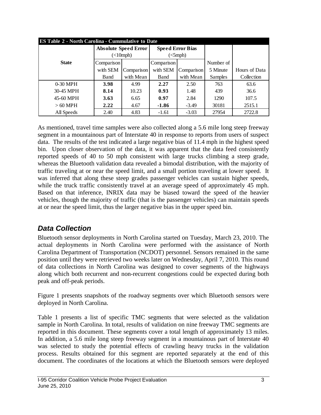|              | <b>ES Table 2 - North Carolina - Cummulative to Date</b> |                             |            |                               |           |               |  |  |  |  |  |
|--------------|----------------------------------------------------------|-----------------------------|------------|-------------------------------|-----------|---------------|--|--|--|--|--|
|              |                                                          | <b>Absolute Speed Error</b> |            | <b>Speed Error Bias</b>       |           |               |  |  |  |  |  |
|              |                                                          | $(\langle$ 10mph)           |            | $\left($ $\leq$ mph $\right)$ |           |               |  |  |  |  |  |
| <b>State</b> | Comparison                                               |                             | Comparison |                               | Number of |               |  |  |  |  |  |
|              | with SEM                                                 | Comparison                  | with SEM   | Comparison                    | 5 Minute  | Hours of Data |  |  |  |  |  |
|              | <b>B</b> and                                             | with Mean                   | Band       | with Mean                     | Samples   | Collection    |  |  |  |  |  |
| $0-30$ MPH   | 3.98                                                     | 4.99                        | 2.27       | 2.50                          | 763       | 63.6          |  |  |  |  |  |
| 30-45 MPH    | 8.14                                                     | 10.23                       | 0.93       | 1.48                          | 439       | 36.6          |  |  |  |  |  |
| 45-60 MPH    | 3.63                                                     | 6.65                        | 0.97       | 2.84                          | 1290      | 107.5         |  |  |  |  |  |
| $>60$ MPH    | 2.22                                                     | 4.67                        | $-1.86$    | $-3.49$                       | 30181     | 2515.1        |  |  |  |  |  |
| All Speeds   | 2.40                                                     | 4.83                        | $-1.61$    | $-3.03$                       | 27954     | 2722.8        |  |  |  |  |  |

As mentioned, travel time samples were also collected along a 5.6 mile long steep freeway segment in a mountainous part of Interstate 40 in response to reports from users of suspect data. The results of the test indicated a large negative bias of 11.4 mph in the highest speed bin. Upon closer observation of the data, it was apparent that the data feed consistently reported speeds of 40 to 50 mph consistent with large trucks climbing a steep grade, whereas the Bluetooth validation data revealed a bimodal distribution, with the majority of traffic traveling at or near the speed limit, and a small portion traveling at lower speed. It was inferred that along these steep grades passenger vehicles can sustain higher speeds, while the truck traffic consistently travel at an average speed of approximately 45 mph. Based on that inference, INRIX data may be biased toward the speed of the heavier vehicles, though the majority of traffic (that is the passenger vehicles) can maintain speeds at or near the speed limit, thus the larger negative bias in the upper speed bin.

### *Data Collection*

Bluetooth sensor deployments in North Carolina started on Tuesday, March 23, 2010. The actual deployments in North Carolina were performed with the assistance of North Carolina Department of Transportation (NCDOT) personnel. Sensors remained in the same position until they were retrieved two weeks later on Wednesday, April 7, 2010. This round of data collections in North Carolina was designed to cover segments of the highways along which both recurrent and non-recurrent congestions could be expected during both peak and off-peak periods.

Figure 1 presents snapshots of the roadway segments over which Bluetooth sensors were deployed in North Carolina.

Table 1 presents a list of specific TMC segments that were selected as the validation sample in North Carolina. In total, results of validation on nine freeway TMC segments are reported in this document. These segments cover a total length of approximately 13 miles. In addition, a 5.6 mile long steep freeway segment in a mountainous part of Interstate 40 was selected to study the potential effects of crawling heavy trucks in the validation process. Results obtained for this segment are reported separately at the end of this document. The coordinates of the locations at which the Bluetooth sensors were deployed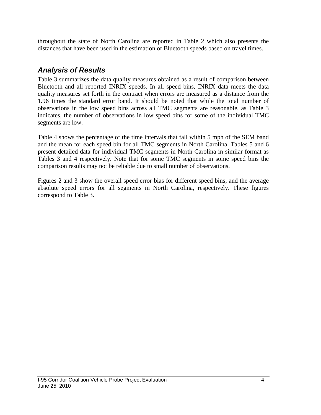throughout the state of North Carolina are reported in Table 2 which also presents the distances that have been used in the estimation of Bluetooth speeds based on travel times.

## *Analysis of Results*

Table 3 summarizes the data quality measures obtained as a result of comparison between Bluetooth and all reported INRIX speeds. In all speed bins, INRIX data meets the data quality measures set forth in the contract when errors are measured as a distance from the 1.96 times the standard error band. It should be noted that while the total number of observations in the low speed bins across all TMC segments are reasonable, as Table 3 indicates, the number of observations in low speed bins for some of the individual TMC segments are low.

Table 4 shows the percentage of the time intervals that fall within 5 mph of the SEM band and the mean for each speed bin for all TMC segments in North Carolina. Tables 5 and 6 present detailed data for individual TMC segments in North Carolina in similar format as Tables 3 and 4 respectively. Note that for some TMC segments in some speed bins the comparison results may not be reliable due to small number of observations.

Figures 2 and 3 show the overall speed error bias for different speed bins, and the average absolute speed errors for all segments in North Carolina, respectively. These figures correspond to Table 3.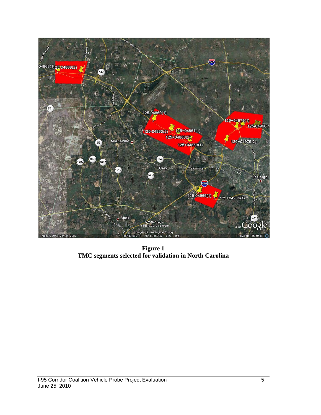

**Figure 1 TMC segments selected for validation in North Carolina**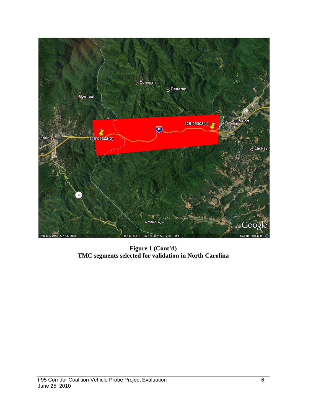

**Figure 1 (Cont'd) TMC segments selected for validation in North Carolina**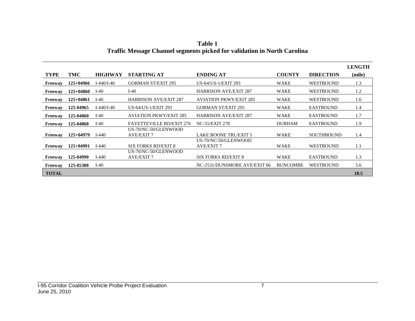|              |             |                |                                           |                                           |                 |                   | <b>LENGTH</b> |
|--------------|-------------|----------------|-------------------------------------------|-------------------------------------------|-----------------|-------------------|---------------|
| <b>TYPE</b>  | TMC         | <b>HIGHWAY</b> | <b>STARTING AT</b>                        | <b>ENDING AT</b>                          | <b>COUNTY</b>   | <b>DIRECTION</b>  | (mile)        |
| Freeway      | $125+04966$ | $I-440/I-40$   | <b>GORMAN ST/EXIT 295</b>                 | US-64/US-1/EXIT 293                       | <b>WAKE</b>     | <b>WESTBOUND</b>  | 1.3           |
| Freeway      | $125+04860$ | $I-40$         | $I-40$                                    | <b>HARRISON AVE/EXIT 287</b>              | <b>WAKE</b>     | WESTBOUND         | 1.2           |
| Freeway      | $125+04861$ | $I-40$         | <b>HARRISON AVE/EXIT 287</b>              | <b>AVIATION PKWY/EXIT 285</b>             | <b>WAKE</b>     | WESTBOUND         | 1.6           |
| Freeway      | 125-04965   | $I-440/I-40$   | US-64/US-1/EXIT 293                       | <b>GORMAN ST/EXIT 295</b>                 | <b>WAKE</b>     | <b>EASTBOUND</b>  | 1.4           |
| Freeway      | 125-04860   | $I-40$         | <b>AVIATION PKWY/EXIT 285</b>             | <b>HARRISON AVE/EXIT 287</b>              | <b>WAKE</b>     | <b>EASTBOUND</b>  | 1.7           |
| Freeway      | 125-04868   | $I-40$         | <b>FAYETTEVILLE RD/EXIT 276</b>           | <b>NC-55/EXIT 278</b>                     | <b>DURHAM</b>   | <b>EASTBOUND</b>  | 1.9           |
| Freeway      | $125+04979$ | $I-440$        | US-70/NC-50/GLENWOOD<br><b>AVE/EXIT 7</b> | <b>LAKE BOONE TRL/EXIT 5</b>              | WAKE            | <b>SOUTHBOUND</b> | 1.4           |
| Freeway      | $125+04991$ | $I-440$        | SIX FORKS RD/EXIT 8                       | US-70/NC-50/GLENWOOD<br><b>AVE/EXIT 7</b> | <b>WAKE</b>     | <b>WESTBOUND</b>  | 1.1           |
| Freeway      | 125-04990   | $I-440$        | US-70/NC-50/GLENWOOD<br><b>AVE/EXIT 7</b> | <b>SIX FORKS RD/EXIT 8</b>                | <b>WAKE</b>     | <b>EASTBOUND</b>  | 1.3           |
| Freeway      | 125-05308   | $I-40$         |                                           | NC-2531/DUNSMORE AVE/EXIT 66              | <b>BUNCOMBE</b> | <b>WESTBOUND</b>  | 5.6           |
| <b>TOTAL</b> |             |                |                                           |                                           |                 |                   | 18.5          |

**Table 1 Traffic Message Channel segments picked for validation in North Carolina**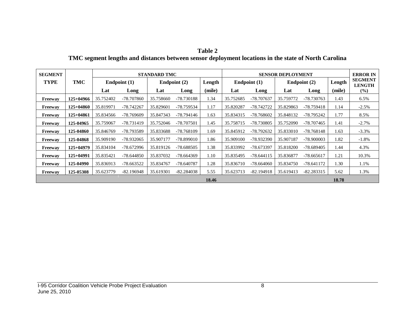| Table 2                                                                                              |  |
|------------------------------------------------------------------------------------------------------|--|
| TMC segment lengths and distances between sensor deployment locations in the state of North Carolina |  |

| <b>SEGMENT</b> |             |           |              | <b>STANDARD TMC</b> |              |        |           |              | <b>SENSOR DEPLOYMENT</b> |                |        | <b>ERROR IN</b>                 |
|----------------|-------------|-----------|--------------|---------------------|--------------|--------|-----------|--------------|--------------------------|----------------|--------|---------------------------------|
| <b>TYPE</b>    | <b>TMC</b>  |           | Endpoint (1) |                     | Endpoint (2) | Length |           | Endpoint (1) |                          | Endpoint $(2)$ | Length | <b>SEGMENT</b><br><b>LENGTH</b> |
|                |             | Lat       | Long         | Lat                 | Long         | (mile) | Lat       | Long         | Lat                      | Long           | (mile) | (%)                             |
| Freeway        | $125+04966$ | 35.752402 | -78.707860   | 35.758660           | -78.730188   | l.34   | 35.752685 | -78.707637   | 35.759772                | -78.730763     | 1.43   | 6.5%                            |
| Freeway        | $125+04860$ | 35.819971 | -78.742267   | 35.829601           | -78.759534   | 1.17   | 35.820287 | -78.742722   | 35.829863                | -78.759418     | 1.14   | $-2.5%$                         |
| Freeway        | $125+04861$ | 35.834566 | -78.769609   | 35.847343           | -78.794146   | 1.63   | 35.834315 | -78.768602   | 35.848132                | -78.795242     | 1.77   | 8.5%                            |
| Freeway        | 125-04965   | 35.759067 | -78.731419   | 35.752046           | -78.707501   | 1.45   | 35.758715 | -78.730805   | 35.752090                | -78.707465     | 1.41   | $-2.7\%$                        |
| Freeway        | 125-04860   | 35.846769 | -78.793589   | 35.833688           | -78.768109   | 1.69   | 35.845912 | -78.792632   | 35.833010                | -78.768148     | 1.63   | $-3.3\%$                        |
| Freeway        | 125-04868   | 35.909190 | -78.932065   | 35.907177           | -78.899010   | 1.86   | 35.909100 | -78.932390   | 35.907187                | -78.900003     | 1.82   | $-1.8%$                         |
| Freeway        | $125+04979$ | 35.834104 | -78.672996   | 35.819126           | -78.688505   | 1.38   | 35.833992 | -78.673397   | 35.818200                | -78.689405     | 1.44   | 4.3%                            |
| Freeway        | $125+04991$ | 35.835421 | -78.644850   | 35.837032           | -78.664369   | 1.10   | 35.835495 | $-78.644115$ | 35.836877                | $-78.665617$   | 1.21   | 10.3%                           |
| Freeway        | 125-04990   | 35.836913 | -78.663522   | 35.834767           | -78.640787   | 1.28   | 35.836710 | $-78.664060$ | 35.834750                | -78.641172     | 1.30   | 1.1%                            |
| Freeway        | 125-05308   | 35.623779 | $-82.196948$ | 35.619301           | $-82.284038$ | 5.55   | 35.623713 | $-82.194918$ | 35.619413                | $-82.283315$   | 5.62   | 1.3%                            |
|                |             |           |              |                     |              | 18.46  |           |              |                          |                | 18.78  |                                 |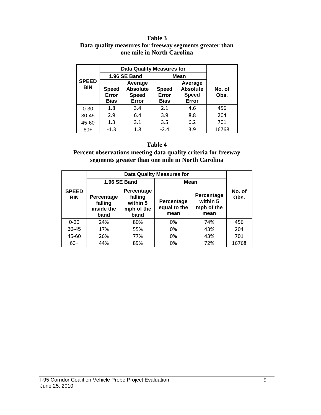#### **Table 3 Data quality measures for freeway segments greater than one mile in North Carolina**

|            |                                                                                                             | <b>Data Quality Measures for</b> |                                      |                                                     |       |  |  |
|------------|-------------------------------------------------------------------------------------------------------------|----------------------------------|--------------------------------------|-----------------------------------------------------|-------|--|--|
|            |                                                                                                             | 1.96 SE Band                     |                                      | <b>Mean</b>                                         |       |  |  |
| <b>BIN</b> | <b>SPEED</b><br>Average<br><b>Absolute</b><br><b>Speed</b><br>Error<br><b>Speed</b><br><b>Bias</b><br>Error |                                  | <b>Speed</b><br>Error<br><b>Bias</b> | Average<br><b>Absolute</b><br><b>Speed</b><br>Error |       |  |  |
| $0 - 30$   | 1.8                                                                                                         | 3.4                              | 2.1                                  | 4.6                                                 | 456   |  |  |
| $30 - 45$  | 2.9                                                                                                         | 6.4                              | 3.9                                  | 8.8                                                 | 204   |  |  |
| 45-60      | 1.3                                                                                                         | 3.1                              | 3.5                                  | 6.2                                                 | 701   |  |  |
| $60+$      | $-1.3$                                                                                                      | 1.8                              | $-2.4$                               | 3.9                                                 | 16768 |  |  |

#### **Table 4**

**Percent observations meeting data quality criteria for freeway segments greater than one mile in North Carolina**

|                            |                                             |                                                         | <b>Data Quality Measures for</b> |                                              |                |
|----------------------------|---------------------------------------------|---------------------------------------------------------|----------------------------------|----------------------------------------------|----------------|
|                            |                                             | 1.96 SE Band                                            | Mean                             |                                              |                |
| <b>SPEED</b><br><b>BIN</b> | Percentage<br>falling<br>inside the<br>band | Percentage<br>falling<br>within 5<br>mph of the<br>band |                                  | Percentage<br>within 5<br>mph of the<br>mean | No. of<br>Obs. |
| $0 - 30$                   | 24%                                         | 80%                                                     | 0%                               | 74%                                          | 456            |
| $30 - 45$                  | 17%                                         | 55%                                                     | 0%                               | 43%                                          | 204            |
| 45-60                      | 26%                                         | 77%                                                     | 0%                               | 43%                                          | 701            |
| $60+$                      | 44%                                         | 89%                                                     | 0%                               | 72%                                          | 16768          |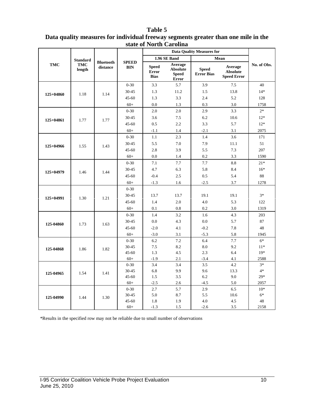|               |                                  |                              |                            |                                             | statt of twi in Calonna                                    | <b>Data Quality Measures for</b>  |                                                  |             |
|---------------|----------------------------------|------------------------------|----------------------------|---------------------------------------------|------------------------------------------------------------|-----------------------------------|--------------------------------------------------|-------------|
|               |                                  |                              |                            |                                             | 1.96 SE Band                                               |                                   | Mean                                             |             |
| TMC           | <b>Standard</b><br>TMC<br>length | <b>Bluetooth</b><br>distance | <b>SPEED</b><br><b>BIN</b> | <b>Speed</b><br><b>Error</b><br><b>Bias</b> | Average<br><b>Absolute</b><br><b>Speed</b><br><b>Error</b> | <b>Speed</b><br><b>Error Bias</b> | Average<br><b>Absolute</b><br><b>Speed Error</b> | No. of Obs. |
|               |                                  |                              | $0 - 30$                   | 3.3                                         | 5.7                                                        | 3.9                               | 7.5                                              | 40          |
| $125 + 04860$ | 1.18                             | 1.14                         | $30 - 45$                  | 1.3                                         | 11.2                                                       | 1.5                               | 13.8                                             | $14*$       |
|               |                                  |                              | $45 - 60$                  | 1.3                                         | 3.3                                                        | 2.4                               | 5.2                                              | 128         |
|               |                                  |                              | $60+$                      | 0.0                                         | 1.3                                                        | 0.3                               | 3.0                                              | 1758        |
|               |                                  |                              | $0 - 30$                   | 2.0                                         | 2.0                                                        | 2.9                               | 3.3                                              | $2*$        |
| $125+04861$   | 1.77                             | 1.77                         | $30 - 45$                  | 3.6                                         | 7.5                                                        | 6.2                               | 10.6                                             | $12*$       |
|               |                                  |                              | $45 - 60$                  | 0.5                                         | 2.2                                                        | 3.3                               | 5.7                                              | $12*$       |
|               |                                  |                              | $60+$                      | $-1.1$                                      | 1.4                                                        | $-2.1$                            | 3.1                                              | 2075        |
|               |                                  |                              | $0 - 30$                   | 1.1                                         | 2.3                                                        | 1.4                               | 3.6                                              | 171         |
| 125+04966     | 1.55                             | 1.43                         | $30 - 45$                  | 5.5                                         | 7.0                                                        | 7.9                               | 11.1                                             | 51          |
|               |                                  |                              | $45 - 60$                  | 2.8                                         | 3.9                                                        | 5.5                               | 7.3                                              | 207         |
|               |                                  |                              | $60+$                      | 0.0                                         | 1.4                                                        | 0.2                               | 3.3                                              | 1590        |
|               |                                  |                              | $0 - 30$                   | 7.1                                         | 7.7                                                        | 7.7                               | 8.8                                              | $21*$       |
| 125+04979     |                                  | 1.44                         | $30 - 45$                  | 4.7                                         | 6.3                                                        | 5.8                               | 8.4                                              | $16*$       |
|               | 1.46                             |                              | $45 - 60$                  | $-0.4$                                      | 2.5                                                        | 0.5                               | 5.4                                              | 88          |
|               |                                  |                              | $60+$                      | $-1.3$                                      | 1.6                                                        | $-2.5$                            | 3.7                                              | 1278        |
|               |                                  |                              | $0 - 30$                   |                                             |                                                            |                                   |                                                  |             |
| $125+04991$   | 1.30                             | 1.21                         | 30-45                      | 13.7                                        | 13.7                                                       | 19.1                              | 19.1                                             | $3*$        |
|               |                                  |                              | $45 - 60$                  | 1.4                                         | 2.0                                                        | 4.0                               | 5.3                                              | 122         |
|               |                                  |                              | $60+$                      | 0.1                                         | 0.8                                                        | 0.2                               | 3.0                                              | 1319        |
|               |                                  |                              | $0 - 30$                   | 1.4                                         | 3.2                                                        | 1.6                               | 4.3                                              | 203         |
| 125-04860     | 1.73                             | 1.63                         | $30 - 45$                  | 0.0                                         | 4.3                                                        | 0.0                               | 5.7                                              | 87          |
|               |                                  |                              | $45 - 60$                  | $-2.0$                                      | 4.1                                                        | $-0.2$                            | 7.8                                              | 48          |
|               |                                  |                              | $60+$                      | $-3.0$                                      | 3.1                                                        | $-5.3$                            | 5.8                                              | 1945        |
|               |                                  |                              | $0 - 30$                   | 6.2                                         | 7.2                                                        | 6.4                               | 7.7                                              | $6*$        |
| 125-04868     | 1.86                             | 1.82                         | $30 - 45$                  | 7.5                                         | 8.2                                                        | 8.0                               | 9.2                                              | $11*$       |
|               |                                  |                              | $45 - 60$                  | 1.3                                         | 4.5                                                        | 2.3                               | 6.4                                              | $19*$       |
|               |                                  |                              | $60+$                      | $-1.9$                                      | 2.1                                                        | $-3.4$                            | 4.1                                              | 2588        |
|               |                                  |                              | $0 - 30$                   | 3.4                                         | 3.4                                                        | 3.5                               | 4.2                                              | $3*$        |
| 125-04965     | 1.54                             | 1.41                         | $30 - 45$                  | 6.8                                         | 9.9                                                        | 9.6                               | 13.3                                             | $4*$        |
|               |                                  |                              | $45 - 60$                  | 1.5                                         | 3.5                                                        | 6.2                               | 9.0                                              | $29*$       |
|               |                                  |                              | $60+$                      | $-2.5$                                      | 2.6                                                        | $-4.5$                            | 5.0                                              | 2057        |
|               |                                  |                              | $0 - 30$                   | 2.7                                         | 5.7                                                        | 2.9                               | 6.5                                              | $10*$       |
| 125-04990     | 1.44                             | 1.30                         | 30-45<br>$45 - 60$         | 5.0<br>1.8                                  | 8.7<br>1.9                                                 | 5.5<br>4.0                        | 10.6<br>4.5                                      | $6*$<br>48  |
|               |                                  |                              | $60+$                      | $-1.3$                                      | 1.5                                                        | $-2.6$                            | 3.5                                              | 2158        |

#### **Table 5 Data quality measures for individual freeway segments greater than one mile in the state of North Carolina**

\*Results in the specified row may not be reliable due to small number of observations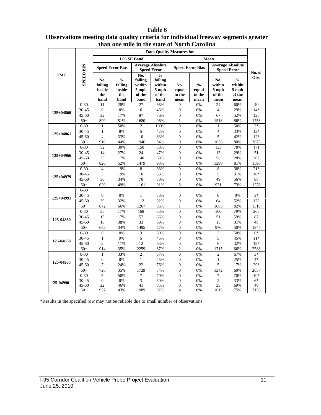|             |                    |                                         |                                                   | than one mile in the state of North Carolina        |                                                                            |                                    |                                          |                                          |                                                      |            |
|-------------|--------------------|-----------------------------------------|---------------------------------------------------|-----------------------------------------------------|----------------------------------------------------------------------------|------------------------------------|------------------------------------------|------------------------------------------|------------------------------------------------------|------------|
|             |                    |                                         |                                                   |                                                     | <b>Data Quality Measures for</b>                                           |                                    |                                          |                                          |                                                      |            |
|             |                    |                                         |                                                   | 1.96 SE Band                                        |                                                                            |                                    |                                          | Mean                                     |                                                      |            |
|             | <b>SPEED BIN</b>   |                                         | <b>Speed Error Bias</b>                           |                                                     | <b>Average Absolute</b><br><b>Speed Error</b>                              |                                    | <b>Speed Error Bias</b>                  |                                          | <b>Average Absolute</b><br><b>Speed Error</b>        | No. of     |
| <b>TMC</b>  |                    | No.<br>falling<br>inside<br>the<br>band | $\frac{0}{0}$<br>falling<br>inside<br>the<br>band | No.<br>falling<br>within<br>5 mph<br>of the<br>band | $\frac{0}{6}$<br>falling<br>within<br>$5 \ \mathrm{mph}$<br>of the<br>band | No.<br>equal<br>to the<br>mean     | $\frac{0}{0}$<br>equal<br>to the<br>mean | No.<br>within<br>5 mph<br>of the<br>mean | $\frac{0}{0}$<br>within<br>$5$ mph<br>of the<br>mean | Obs.       |
|             | $0 - 30$           | 11                                      | 28%                                               | 27                                                  | 68%                                                                        | $\overline{0}$                     | 0%                                       | 24                                       | 60%                                                  | 40         |
| 125+04860   | 30-45              | $\boldsymbol{0}$                        | 0%                                                | 6                                                   | 43%                                                                        | $\boldsymbol{0}$                   | 0%                                       | $\overline{4}$                           | 29%                                                  | $14*$      |
|             | $45 - 60$          | 22                                      | 17%                                               | 97                                                  | 76%                                                                        | $\overline{0}$                     | 0%                                       | 67                                       | 52%                                                  | 128        |
|             | $60+$              | 899                                     | 51%                                               | 1680                                                | 96%                                                                        | $\mathbf{1}$                       | 0%                                       | 1518                                     | 86%                                                  | 1758       |
|             | $0 - 30$           | $\mathbf{1}$                            | 50%                                               | $\overline{c}$                                      | 100%                                                                       | $\Omega$                           | 0%                                       | 1                                        | 50%                                                  | $2*$       |
| $125+04861$ | 30-45              | $\mathbf{1}$                            | 8%                                                | 5                                                   | 42%                                                                        | $\overline{0}$                     | 0%                                       | 4                                        | 33%                                                  | $12*$      |
|             | $45 - 60$          | $\overline{4}$                          | 33%                                               | 10                                                  | 83%                                                                        | $\boldsymbol{0}$                   | 0%                                       | 5                                        | 42%                                                  | $12*$      |
|             | $60+$              | 916                                     | 44%                                               | 1946                                                | 94%                                                                        | $\overline{0}$                     | 0%                                       | 1658                                     | 80%                                                  | 2075       |
|             | $0 - 30$           | 52                                      | 30%                                               | 150                                                 | 88%                                                                        | $\Omega$                           | 0%                                       | 133                                      | 78%                                                  | 171        |
| 125+04966   | 30-45              | 14                                      | 27%                                               | 24                                                  | 47%                                                                        | $\overline{0}$                     | 0%                                       | 15                                       | 29%                                                  | 51         |
|             | $45 - 60$          | 35                                      | 17%                                               | 140                                                 | 68%                                                                        | $\boldsymbol{0}$                   | 0%                                       | 58                                       | 28%                                                  | 207        |
|             | $60+$              | 826                                     | 52%                                               | 1479                                                | 93%                                                                        | $\overline{c}$                     | 0%                                       | 1290                                     | 81%                                                  | 1590       |
|             | $0 - 30$           | $\overline{4}$                          | 19%                                               | 8                                                   | 38%                                                                        | $\overline{0}$                     | 0%                                       | 8                                        | 38%                                                  | $21*$      |
| 125+04979   | 30-45              | 3                                       | 19%                                               | 10                                                  | 63%                                                                        | $\boldsymbol{0}$                   | 0%                                       | 5                                        | 31%                                                  | $16*$      |
|             | $45 - 60$          | 30                                      | 34%                                               | 70                                                  | 80%                                                                        | $\boldsymbol{0}$                   | 0%                                       | 49                                       | 56%                                                  | 88         |
|             | $60+$              | 629                                     | 49%                                               | 1161                                                | 91%                                                                        | 6                                  | 0%                                       | 931                                      | 73%                                                  | 1278       |
|             | $0 - 30$           |                                         |                                                   |                                                     |                                                                            |                                    |                                          |                                          |                                                      |            |
| 125+04991   | 30-45              | $\overline{0}$                          | 0%                                                | $\mathbf{1}$                                        | 33%                                                                        | $\overline{0}$                     | 0%                                       | $\boldsymbol{0}$                         | 0%                                                   | $3*$       |
|             | $45 - 60$          | 39                                      | 32%                                               | 112                                                 | 92%                                                                        | $\boldsymbol{0}$                   | 0%                                       | 64                                       | 52%                                                  | 122        |
|             | $60+$              | 872                                     | 66%                                               | 1267                                                | 96%                                                                        | $\mathbf{1}$                       | 0%                                       | 1085                                     | 82%                                                  | 1319       |
|             | $0 - 30$           | 35                                      | 17%                                               | 168                                                 | 83%                                                                        | $\overline{0}$                     | 0%                                       | 160                                      | 79%                                                  | 203        |
| 125-04860   | 30-45              | 15                                      | 17%                                               | 57                                                  | 66%                                                                        | $\overline{0}$                     | 0%                                       | 51                                       | 59%                                                  | 87         |
|             | $45 - 60$          | 18                                      | 38%                                               | 33                                                  | 69%                                                                        | $\overline{0}$                     | 0%                                       | 15                                       | 31%                                                  | 48         |
|             | $60+$              | 655                                     | 34%                                               | 1495                                                | 77%                                                                        | $\overline{0}$                     | 0%                                       | 976                                      | 50%                                                  | 1945       |
|             | $0 - 30$           | $\overline{0}$                          | 0%                                                | 3                                                   | 50%                                                                        | $\overline{0}$                     | 0%                                       | 3                                        | 50%                                                  | $6*$       |
| 125-04868   | 30-45              | $\mathbf{1}$                            | 9%                                                | 5                                                   | 45%                                                                        | $\overline{0}$                     | 0%                                       | 5                                        | 45%                                                  | $11*$      |
|             | $45 - 60$          | $\overline{c}$                          | 11%                                               | 12                                                  | 63%                                                                        | $\boldsymbol{0}$                   | 0%                                       | 6                                        | 32%                                                  | $19*$      |
|             | $60+$              | 914                                     | 35%                                               | 2259                                                | 87%                                                                        | $\overline{c}$                     | 0%                                       | 1715                                     | 66%                                                  | 2588       |
|             | $0 - 30$           | $\mathbf{1}$                            | 33%                                               | $\overline{c}$                                      | 67%                                                                        | $\overline{0}$                     | 0%                                       | $\overline{c}$                           | 67%                                                  | $3*$       |
| 125-04965   | 30-45              | $\boldsymbol{0}$                        | $0\%$                                             | $\mathbf{1}$                                        | 25%                                                                        | $\boldsymbol{0}$                   | 0%                                       | $\mathbf{1}$                             | 25%                                                  | $4*$       |
|             | $45 - 60$          | 7                                       | 24%                                               | 22                                                  | 76%                                                                        | $\boldsymbol{0}$                   | 0%                                       | 5                                        | 17%                                                  | $29*$      |
|             | $60+$              | 726                                     | 35%                                               | 1729                                                | 84%                                                                        | $\Omega$                           | 0%                                       | 1242                                     | 60%                                                  | 2057       |
|             | $0 - 30$           | 5                                       | 50%                                               | 7                                                   | 70%                                                                        | $\overline{0}$                     | 0%                                       | 7                                        | 70%                                                  | $10*$      |
| 125-04990   | 30-45              | $\overline{0}$<br>22                    | 0%                                                | 3                                                   | 50%                                                                        | $\overline{0}$<br>$\boldsymbol{0}$ | 0%<br>0%                                 | $\overline{c}$<br>33                     | 33%                                                  | $6*$<br>48 |
|             | $45 - 60$<br>$60+$ | 937                                     | 46%<br>43%                                        | 41<br>1989                                          | 85%<br>92%                                                                 | $\overline{4}$                     | 0%                                       | 1615                                     | 69%<br>75%                                           | 2158       |
|             |                    |                                         |                                                   |                                                     |                                                                            |                                    |                                          |                                          |                                                      |            |

#### **Table 6 Observations meeting data quality criteria for individual freeway segments greater than one mile in the state of North Carolina**

\*Results in the specified row may not be reliable due to small number of observations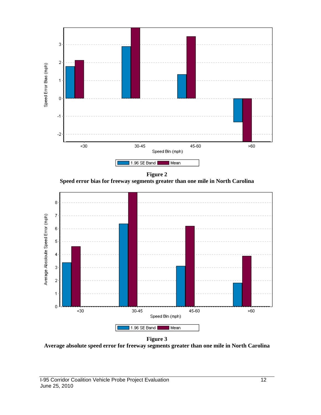

**Figure 2 Speed error bias for freeway segments greater than one mile in North Carolina**



**Figure 3**

**Average absolute speed error for freeway segments greater than one mile in North Carolina**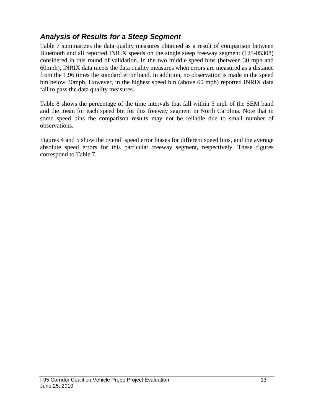### *Analysis of Results for a Steep Segment*

Table 7 summarizes the data quality measures obtained as a result of comparison between Bluetooth and all reported INRIX speeds on the single steep freeway segment (125-05308) considered in this round of validation. In the two middle speed bins (between 30 mph and 60mph), INRIX data meets the data quality measures when errors are measured as a distance from the 1.96 times the standard error band. In addition, no observation is made in the speed bin below 30mph. However, in the highest speed bin (above 60 mph) reported INRIX data fail to pass the data quality measures.

Table 8 shows the percentage of the time intervals that fall within 5 mph of the SEM band and the mean for each speed bin for this freeway segment in North Carolina. Note that in some speed bins the comparison results may not be reliable due to small number of observations.

Figures 4 and 5 show the overall speed error biases for different speed bins, and the average absolute speed errors for this particular freeway segment, respectively. These figures correspond to Table 7.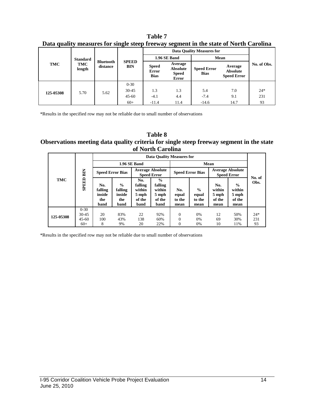**Table 7 Data quality measures for single steep freeway segment in the state of North Carolina**

|           | <b>Standard</b> |                              |                            |                                             | 1.96 SE Band                                               | Mean                              |                                                  |             |
|-----------|-----------------|------------------------------|----------------------------|---------------------------------------------|------------------------------------------------------------|-----------------------------------|--------------------------------------------------|-------------|
| TMC       | TMC<br>length   | <b>Bluetooth</b><br>distance | <b>SPEED</b><br><b>BIN</b> | <b>Speed</b><br><b>Error</b><br><b>Bias</b> | Average<br><b>Absolute</b><br><b>Speed</b><br><b>Error</b> | <b>Speed Error</b><br><b>Bias</b> | Average<br><b>Absolute</b><br><b>Speed Error</b> | No. of Obs. |
|           |                 |                              | $0 - 30$                   |                                             |                                                            |                                   |                                                  |             |
| 125-05308 | 5.70            | 5.62                         | $30 - 45$                  | 1.3                                         | 1.3                                                        | 5.4                               | 7.0                                              | $24*$       |
|           |                 |                              | $45 - 60$                  | $-4.1$                                      | 4.4                                                        | $-7.4$                            | 9.1                                              | 231         |
|           |                 |                              | $60+$                      | $-11.4$                                     | 11.4                                                       | $-14.6$                           | 14.7                                             | 93          |

\*Results in the specified row may not be reliable due to small number of observations

#### **Table 8 Observations meeting data quality criteria for single steep freeway segment in the state of North Carolina**

|            |                       | <b>Data Quality Measures for</b>        |                                          |                                                     |                                                               |                                |                                          |                                                                                                |                |           |  |
|------------|-----------------------|-----------------------------------------|------------------------------------------|-----------------------------------------------------|---------------------------------------------------------------|--------------------------------|------------------------------------------|------------------------------------------------------------------------------------------------|----------------|-----------|--|
|            |                       |                                         |                                          | 1.96 SE Band                                        |                                                               |                                | Mean                                     |                                                                                                |                |           |  |
|            |                       | <b>Speed Error Bias</b>                 |                                          | <b>Average Absolute</b><br><b>Speed Error</b>       |                                                               | <b>Speed Error Bias</b>        |                                          | <b>Average Absolute</b><br><b>Speed Error</b>                                                  |                |           |  |
| <b>TMC</b> | <b>SPEED BIN</b>      | No.<br>falling<br>inside<br>the<br>band | $\%$<br>falling<br>inside<br>the<br>band | No.<br>falling<br>within<br>5 mph<br>of the<br>band | $\frac{6}{9}$<br>falling<br>within<br>5 mph<br>of the<br>band | No.<br>equal<br>to the<br>mean | $\frac{0}{0}$<br>equal<br>to the<br>mean | $\frac{0}{0}$<br>No.<br>within<br>within<br>5 mph<br>5 mph<br>of the<br>of the<br>mean<br>mean | No. of<br>Obs. |           |  |
| 125-05308  | $0 - 30$<br>$30 - 45$ | 20                                      | 83%                                      | 22                                                  | 92%                                                           | $\Omega$                       | 0%                                       | 12                                                                                             | 50%            | $24*$     |  |
|            | $45 - 60$<br>$60+$    | 100<br>8                                | 43%<br>9%                                | 138<br>20                                           | 60%<br>22%                                                    | $\Omega$<br>$\Omega$           | 0%<br>0%                                 | 69<br>10                                                                                       | 30%<br>11%     | 231<br>93 |  |
|            |                       |                                         |                                          |                                                     |                                                               |                                |                                          |                                                                                                |                |           |  |

\*Results in the specified row may not be reliable due to small number of observations